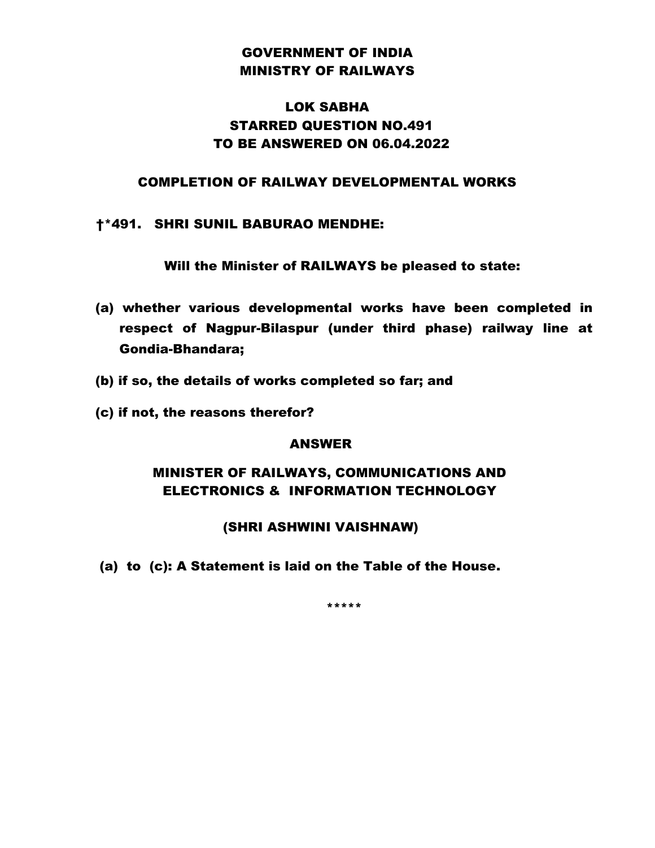## GOVERNMENT OF INDIA MINISTRY OF RAILWAYS

# LOK SABHA STARRED QUESTION NO.491 TO BE ANSWERED ON 06.04.2022

#### COMPLETION OF RAILWAY DEVELOPMENTAL WORKS

#### †\*491. SHRI SUNIL BABURAO MENDHE:

Will the Minister of RAILWAYS be pleased to state:

- (a) whether various developmental works have been completed in respect of Nagpur-Bilaspur (under third phase) railway line at Gondia-Bhandara;
- (b) if so, the details of works completed so far; and
- (c) if not, the reasons therefor?

### ANSWER

## MINISTER OF RAILWAYS, COMMUNICATIONS AND ELECTRONICS & INFORMATION TECHNOLOGY

### (SHRI ASHWINI VAISHNAW)

(a) to (c): A Statement is laid on the Table of the House.

\*\*\*\*\*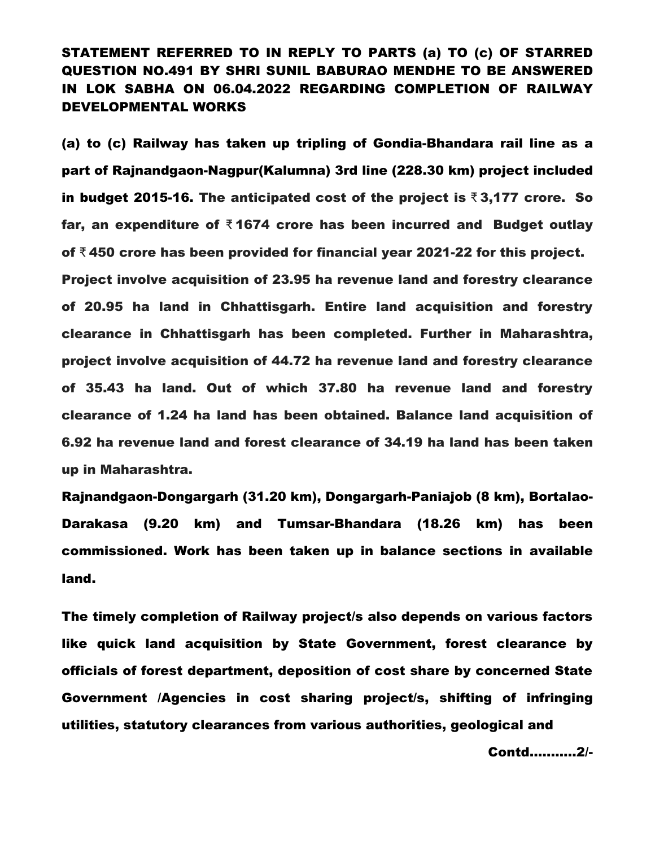# STATEMENT REFERRED TO IN REPLY TO PARTS (a) TO (c) OF STARRED QUESTION NO.491 BY SHRI SUNIL BABURAO MENDHE TO BE ANSWERED IN LOK SABHA ON 06.04.2022 REGARDING COMPLETION OF RAILWAY DEVELOPMENTAL WORKS

(a) to (c) Railway has taken up tripling of Gondia-Bhandara rail line as a part of Rajnandgaon-Nagpur(Kalumna) 3rd line (228.30 km) project included in budget 2015-16. The anticipated cost of the project is ₹3,177 crore. So far, an expenditure of  $\bar{x}$  1674 crore has been incurred and Budget outlay of ₹ 450 crore has been provided for financial year 2021-22 for this project. Project involve acquisition of 23.95 ha revenue land and forestry clearance of 20.95 ha land in Chhattisgarh. Entire land acquisition and forestry clearance in Chhattisgarh has been completed. Further in Maharashtra, project involve acquisition of 44.72 ha revenue land and forestry clearance of 35.43 ha land. Out of which 37.80 ha revenue land and forestry clearance of 1.24 ha land has been obtained. Balance land acquisition of 6.92 ha revenue land and forest clearance of 34.19 ha land has been taken up in Maharashtra.

Rajnandgaon-Dongargarh (31.20 km), Dongargarh-Paniajob (8 km), Bortalao-Darakasa (9.20 km) and Tumsar-Bhandara (18.26 km) has been commissioned. Work has been taken up in balance sections in available land.

The timely completion of Railway project/s also depends on various factors like quick land acquisition by State Government, forest clearance by officials of forest department, deposition of cost share by concerned State Government /Agencies in cost sharing project/s, shifting of infringing utilities, statutory clearances from various authorities, geological and

Contd..………2/-